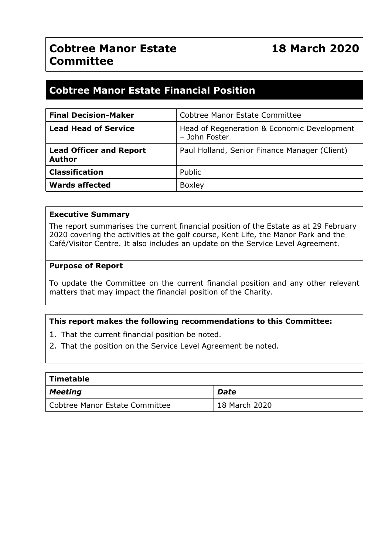## **Cobtree Manor Estate Financial Position**

| <b>Final Decision-Maker</b>                     | Cobtree Manor Estate Committee                               |  |
|-------------------------------------------------|--------------------------------------------------------------|--|
| <b>Lead Head of Service</b>                     | Head of Regeneration & Economic Development<br>- John Foster |  |
| <b>Lead Officer and Report</b><br><b>Author</b> | Paul Holland, Senior Finance Manager (Client)                |  |
| <b>Classification</b>                           | Public                                                       |  |
| <b>Wards affected</b>                           | <b>Boxley</b>                                                |  |

#### **Executive Summary**

The report summarises the current financial position of the Estate as at 29 February 2020 covering the activities at the golf course, Kent Life, the Manor Park and the Café/Visitor Centre. It also includes an update on the Service Level Agreement.

#### **Purpose of Report**

To update the Committee on the current financial position and any other relevant matters that may impact the financial position of the Charity.

#### **This report makes the following recommendations to this Committee:**

- 1. That the current financial position be noted.
- 2. That the position on the Service Level Agreement be noted.

| $\mid$ Timetable               |               |  |  |  |  |  |
|--------------------------------|---------------|--|--|--|--|--|
| $\vert$ Meeting                | <b>Date</b>   |  |  |  |  |  |
| Cobtree Manor Estate Committee | 18 March 2020 |  |  |  |  |  |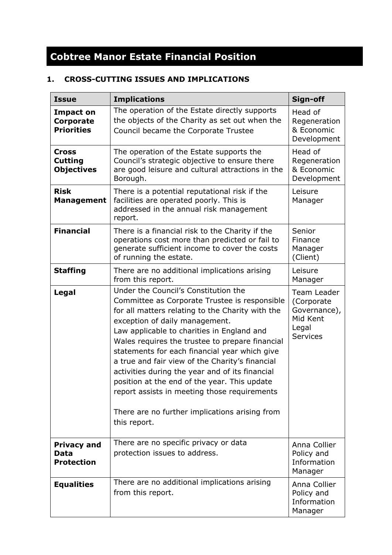# **Cobtree Manor Estate Financial Position**

### **1. CROSS-CUTTING ISSUES AND IMPLICATIONS**

| <b>Issue</b>                                           | <b>Implications</b>                                                                                                                                                                                                                                                                                                                                                                                                                                                                                                                                                                                   | Sign-off                                                                          |
|--------------------------------------------------------|-------------------------------------------------------------------------------------------------------------------------------------------------------------------------------------------------------------------------------------------------------------------------------------------------------------------------------------------------------------------------------------------------------------------------------------------------------------------------------------------------------------------------------------------------------------------------------------------------------|-----------------------------------------------------------------------------------|
| Impact on<br>Corporate<br><b>Priorities</b>            | The operation of the Estate directly supports<br>the objects of the Charity as set out when the<br>Council became the Corporate Trustee                                                                                                                                                                                                                                                                                                                                                                                                                                                               | Head of<br>Regeneration<br>& Economic<br>Development                              |
| <b>Cross</b><br><b>Cutting</b><br><b>Objectives</b>    | The operation of the Estate supports the<br>Council's strategic objective to ensure there<br>are good leisure and cultural attractions in the<br>Borough.                                                                                                                                                                                                                                                                                                                                                                                                                                             | Head of<br>Regeneration<br>& Economic<br>Development                              |
| <b>Risk</b><br><b>Management</b>                       | There is a potential reputational risk if the<br>facilities are operated poorly. This is<br>addressed in the annual risk management<br>report.                                                                                                                                                                                                                                                                                                                                                                                                                                                        | Leisure<br>Manager                                                                |
| <b>Financial</b>                                       | There is a financial risk to the Charity if the<br>operations cost more than predicted or fail to<br>generate sufficient income to cover the costs<br>of running the estate.                                                                                                                                                                                                                                                                                                                                                                                                                          | Senior<br>Finance<br>Manager<br>(Client)                                          |
| <b>Staffing</b>                                        | There are no additional implications arising<br>from this report.                                                                                                                                                                                                                                                                                                                                                                                                                                                                                                                                     | Leisure<br>Manager                                                                |
| Legal                                                  | Under the Council's Constitution the<br>Committee as Corporate Trustee is responsible<br>for all matters relating to the Charity with the<br>exception of daily management.<br>Law applicable to charities in England and<br>Wales requires the trustee to prepare financial<br>statements for each financial year which give<br>a true and fair view of the Charity's financial<br>activities during the year and of its financial<br>position at the end of the year. This update<br>report assists in meeting those requirements<br>There are no further implications arising from<br>this report. | Team Leader<br>(Corporate<br>Governance),<br>Mid Kent<br>Legal<br><b>Services</b> |
| <b>Privacy and</b><br><b>Data</b><br><b>Protection</b> | There are no specific privacy or data<br>protection issues to address.                                                                                                                                                                                                                                                                                                                                                                                                                                                                                                                                | Anna Collier<br>Policy and<br>Information<br>Manager                              |
| <b>Equalities</b>                                      | There are no additional implications arising<br>from this report.                                                                                                                                                                                                                                                                                                                                                                                                                                                                                                                                     | Anna Collier<br>Policy and<br>Information<br>Manager                              |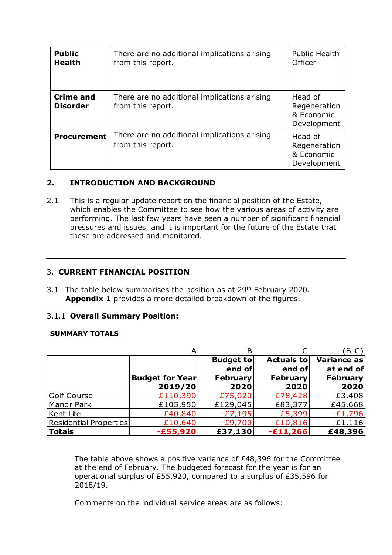| <b>Public</b><br><b>Health</b>      | There are no additional implications arising<br>from this report. | <b>Public Health</b><br>Officer                      |
|-------------------------------------|-------------------------------------------------------------------|------------------------------------------------------|
| <b>Crime and</b><br><b>Disorder</b> | There are no additional implications arising<br>from this report. | Head of<br>Regeneration<br>& Economic<br>Development |
| <b>Procurement</b>                  | There are no additional implications arising<br>from this report. | Head of<br>Regeneration<br>& Economic<br>Development |

#### **2. INTRODUCTION AND BACKGROUND**

2.1 This is a regular update report on the financial position of the Estate, which enables the Committee to see how the various areas of activity are performing. The last few years have seen a number of significant financial pressures and issues, and it is important for the future of the Estate that these are addressed and monitored.

#### 3. **CURRENT FINANCIAL POSITION**

3.1 The table below summarises the position as at 29<sup>th</sup> February 2020. **Appendix 1** provides a more detailed breakdown of the figures.

#### 3.1.1 **Overall Summary Position:**

#### **SUMMARY TOTALS**

|                               |                                   |                                                       |                                          | $B-C$                                               |
|-------------------------------|-----------------------------------|-------------------------------------------------------|------------------------------------------|-----------------------------------------------------|
|                               | <b>Budget for Year</b><br>2019/20 | <b>Budget to</b><br>end of<br><b>February</b><br>2020 | Actuals to<br>end of<br>February<br>2020 | Variance as<br>at end of<br><b>February</b><br>2020 |
| Golf Course                   | $-E110,390$                       | $-E75,020$                                            | $-E78,428$                               | £3,408                                              |
| Manor Park                    | £105,950                          | £129,045                                              | £83,377                                  | £45,668                                             |
| <b>Kent Life</b>              | $-£40,840$                        | $-E7,195$                                             | $-E5,399$                                | $-E1,796$                                           |
| <b>Residential Properties</b> | $-E10,640$                        | $-E9,700$                                             | $-£10,816$                               | £1,116                                              |
| <b>Totals</b>                 | $-£55,920$                        | £37,130                                               | $-E11,266$                               | £48,396                                             |

The table above shows a positive variance of £48,396 for the Committee at the end of February. The budgeted forecast for the year is for an operational surplus of £55,920, compared to a surplus of £35,596 for 2018/19.

Comments on the individual service areas are as follows: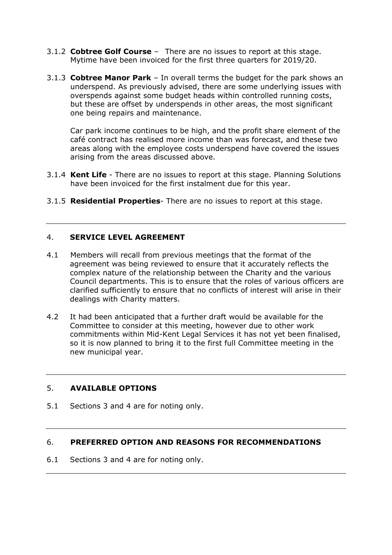- 3.1.2 **Cobtree Golf Course** There are no issues to report at this stage. Mytime have been invoiced for the first three quarters for 2019/20.
- 3.1.3 **Cobtree Manor Park** In overall terms the budget for the park shows an underspend. As previously advised, there are some underlying issues with overspends against some budget heads within controlled running costs, but these are offset by underspends in other areas, the most significant one being repairs and maintenance.

Car park income continues to be high, and the profit share element of the café contract has realised more income than was forecast, and these two areas along with the employee costs underspend have covered the issues arising from the areas discussed above.

- 3.1.4 **Kent Life** There are no issues to report at this stage. Planning Solutions have been invoiced for the first instalment due for this year.
- 3.1.5 **Residential Properties** There are no issues to report at this stage.

#### 4. **SERVICE LEVEL AGREEMENT**

- 4.1 Members will recall from previous meetings that the format of the agreement was being reviewed to ensure that it accurately reflects the complex nature of the relationship between the Charity and the various Council departments. This is to ensure that the roles of various officers are clarified sufficiently to ensure that no conflicts of interest will arise in their dealings with Charity matters.
- 4.2 It had been anticipated that a further draft would be available for the Committee to consider at this meeting, however due to other work commitments within Mid-Kent Legal Services it has not yet been finalised, so it is now planned to bring it to the first full Committee meeting in the new municipal year.

#### 5. **AVAILABLE OPTIONS**

5.1 Sections 3 and 4 are for noting only.

#### 6. **PREFERRED OPTION AND REASONS FOR RECOMMENDATIONS**

6.1 Sections 3 and 4 are for noting only.